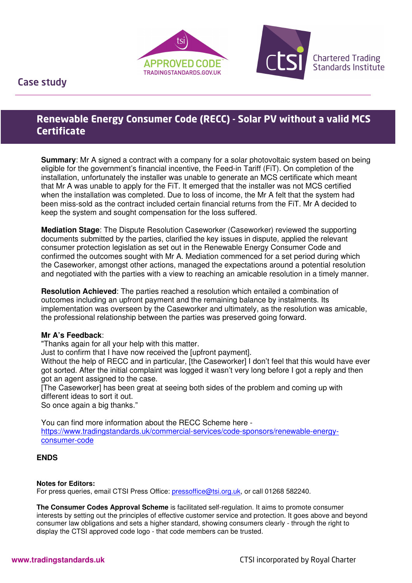



**Chartered Trading Standards Institute** 

Case study

I

# **Renewable Energy Consumer Code (RECC) - Solar PV without a valid MCS Certificate**

**Summary:** Mr A signed a contract with a company for a solar photovoltaic system based on being eligible for the government's financial incentive, the Feed-in Tariff (FiT). On completion of the installation, unfortunately the installer was unable to generate an MCS certificate which meant that Mr A was unable to apply for the FiT. It emerged that the installer was not MCS certified when the installation was completed. Due to loss of income, the Mr A felt that the system had been miss-sold as the contract included certain financial returns from the FiT. Mr A decided to keep the system and sought compensation for the loss suffered.

**Mediation Stage**: The Dispute Resolution Caseworker (Caseworker) reviewed the supporting documents submitted by the parties, clarified the key issues in dispute, applied the relevant consumer protection legislation as set out in the Renewable Energy Consumer Code and confirmed the outcomes sought with Mr A. Mediation commenced for a set period during which the Caseworker, amongst other actions, managed the expectations around a potential resolution and negotiated with the parties with a view to reaching an amicable resolution in a timely manner.

**Resolution Achieved**: The parties reached a resolution which entailed a combination of outcomes including an upfront payment and the remaining balance by instalments. Its implementation was overseen by the Caseworker and ultimately, as the resolution was amicable, the professional relationship between the parties was preserved going forward.

## **Mr A's Feedback**:

"Thanks again for all your help with this matter.

Just to confirm that I have now received the [upfront payment].

Without the help of RECC and in particular, [the Caseworker] I don't feel that this would have ever got sorted. After the initial complaint was logged it wasn't very long before I got a reply and then got an agent assigned to the case.

[The Caseworker] has been great at seeing both sides of the problem and coming up with different ideas to sort it out.

So once again a big thanks."

You can find more information about the RECC Scheme here https://www.tradingstandards.uk/commercial-services/code-sponsors/renewable-energyconsumer-code

## **ENDS**

#### **Notes for Editors:**

For press queries, email CTSI Press Office: pressoffice@tsi.org.uk, or call 01268 582240.

**The Consumer Codes Approval Scheme** is facilitated self-regulation. It aims to promote consumer interests by setting out the principles of effective customer service and protection. It goes above and beyond consumer law obligations and sets a higher standard, showing consumers clearly - through the right to display the CTSI approved code logo - that code members can be trusted.